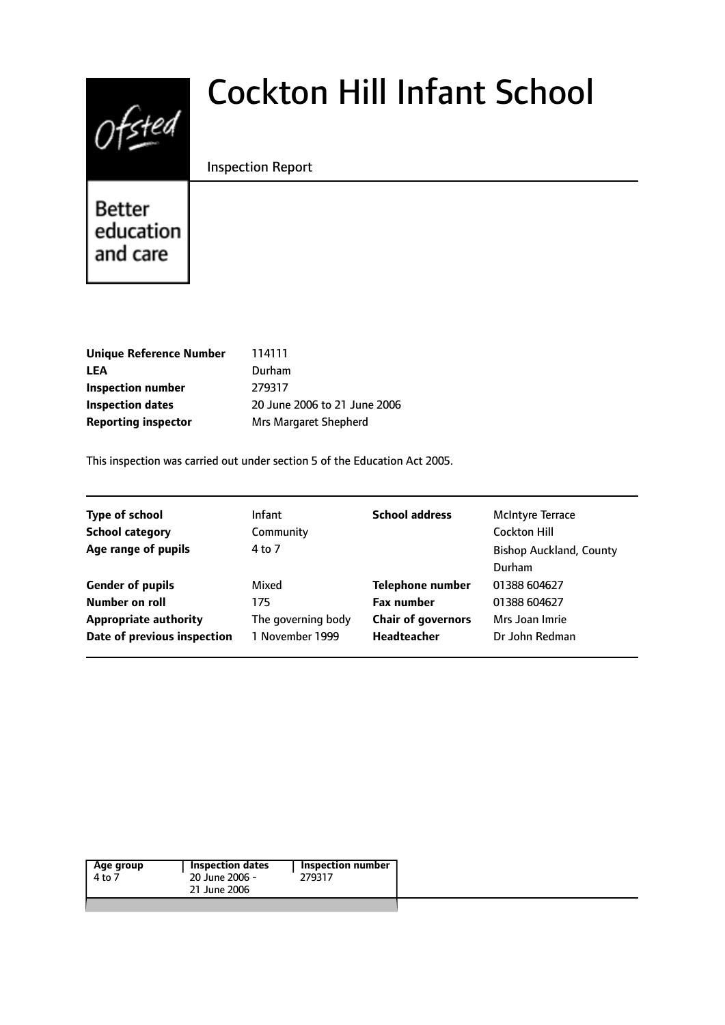

# Cockton Hill Infant School

### Inspection Report

Better education and care

| Unique Reference Number    | 114111                       |
|----------------------------|------------------------------|
| LEA                        | Durham                       |
| Inspection number          | 279317                       |
| <b>Inspection dates</b>    | 20 June 2006 to 21 June 2006 |
| <b>Reporting inspector</b> | Mrs Margaret Shepherd        |
|                            |                              |

This inspection was carried out under section 5 of the Education Act 2005.

| <b>Type of school</b><br><b>School category</b><br>Age range of pupils | <b>Infant</b><br>Community<br>4 to 7 | <b>School address</b>     | <b>McIntyre Terrace</b><br><b>Cockton Hill</b><br><b>Bishop Auckland, County</b> |
|------------------------------------------------------------------------|--------------------------------------|---------------------------|----------------------------------------------------------------------------------|
|                                                                        |                                      |                           | Durham                                                                           |
| <b>Gender of pupils</b>                                                | Mixed                                | <b>Telephone number</b>   | 01388 604627                                                                     |
| Number on roll                                                         | 175                                  | <b>Fax number</b>         | 01388 604627                                                                     |
| <b>Appropriate authority</b>                                           | The governing body                   | <b>Chair of governors</b> | Mrs Joan Imrie                                                                   |
| Date of previous inspection                                            | 1 November 1999                      | <b>Headteacher</b>        | Dr John Redman                                                                   |

| Age group<br>4 to 7 | <b>Inspection dates</b><br>20 June 2006 -<br>21 June 2006 | Inspection number  <br>279317 |
|---------------------|-----------------------------------------------------------|-------------------------------|
|                     |                                                           |                               |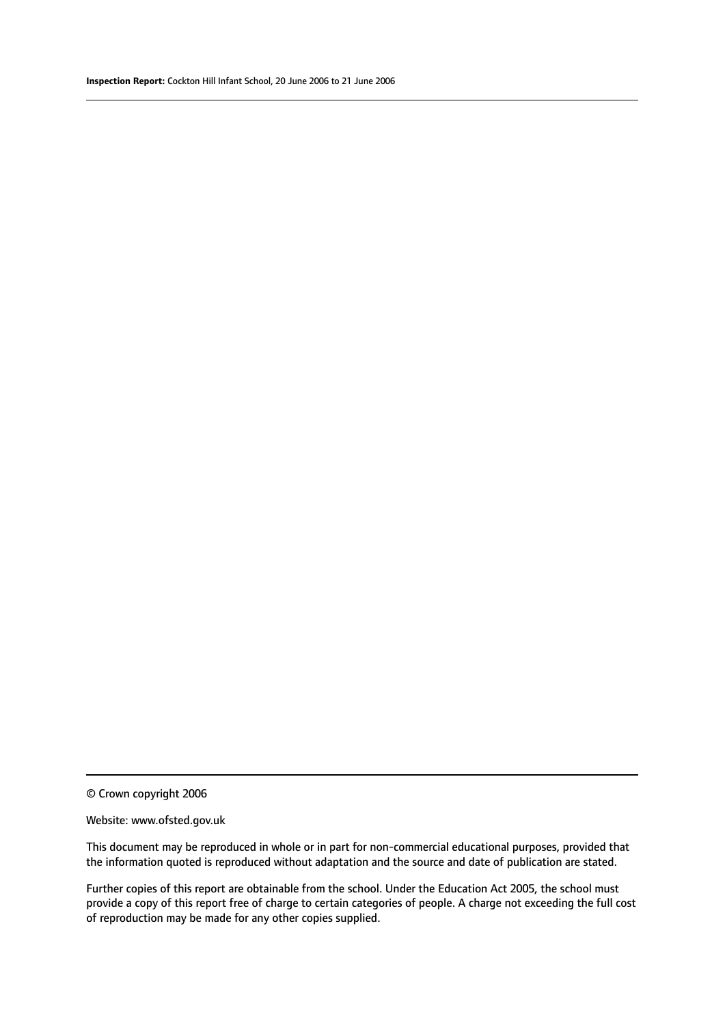© Crown copyright 2006

### Website: www.ofsted.gov.uk

This document may be reproduced in whole or in part for non-commercial educational purposes, provided that the information quoted is reproduced without adaptation and the source and date of publication are stated.

Further copies of this report are obtainable from the school. Under the Education Act 2005, the school must provide a copy of this report free of charge to certain categories of people. A charge not exceeding the full cost of reproduction may be made for any other copies supplied.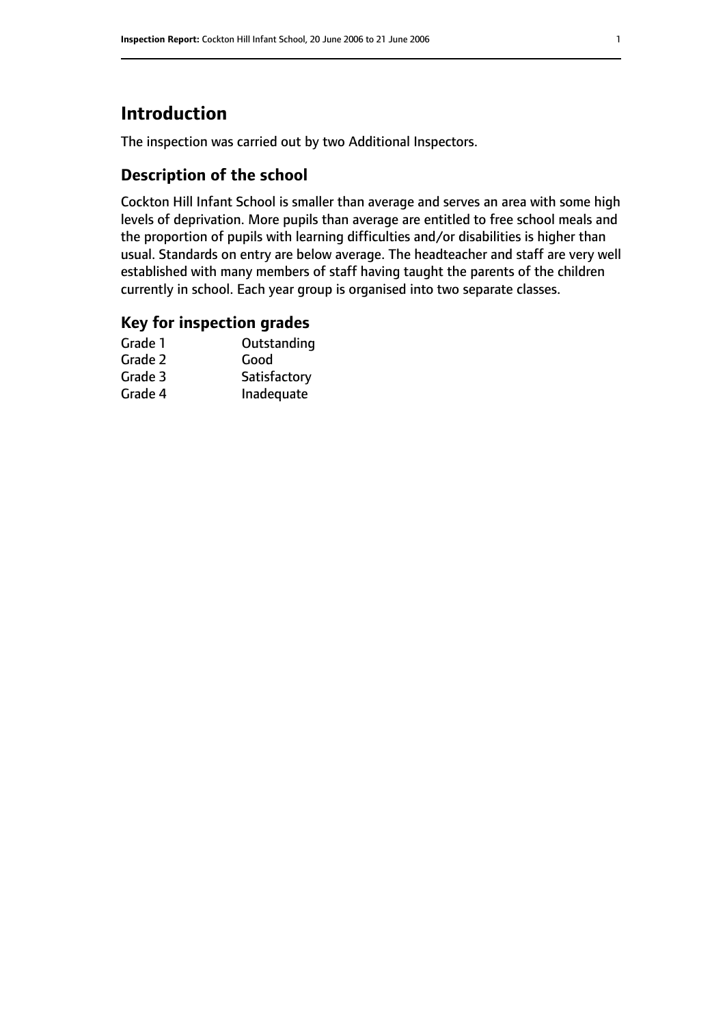# **Introduction**

The inspection was carried out by two Additional Inspectors.

### **Description of the school**

Cockton Hill Infant School is smaller than average and serves an area with some high levels of deprivation. More pupils than average are entitled to free school meals and the proportion of pupils with learning difficulties and/or disabilities is higher than usual. Standards on entry are below average. The headteacher and staff are very well established with many members of staff having taught the parents of the children currently in school. Each year group is organised into two separate classes.

### **Key for inspection grades**

| Outstanding  |
|--------------|
| Good         |
| Satisfactory |
| Inadequate   |
|              |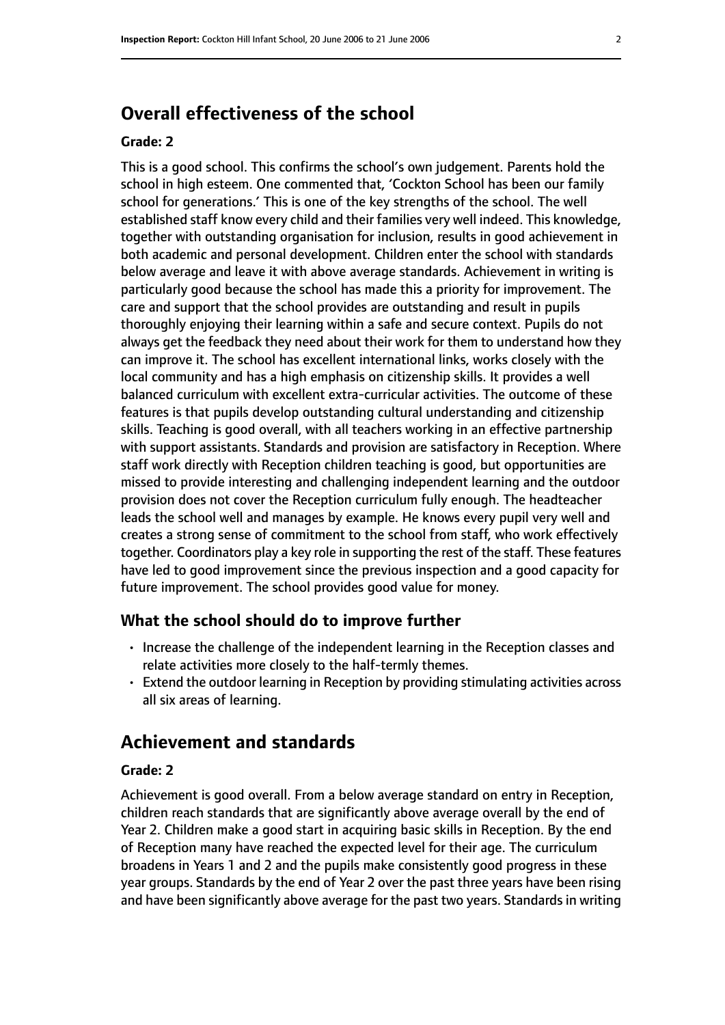# **Overall effectiveness of the school**

### **Grade: 2**

This is a good school. This confirms the school's own judgement. Parents hold the school in high esteem. One commented that, 'Cockton School has been our family school for generations.' This is one of the key strengths of the school. The well established staff know every child and their families very well indeed. This knowledge, together with outstanding organisation for inclusion, results in good achievement in both academic and personal development. Children enter the school with standards below average and leave it with above average standards. Achievement in writing is particularly good because the school has made this a priority for improvement. The care and support that the school provides are outstanding and result in pupils thoroughly enjoying their learning within a safe and secure context. Pupils do not always get the feedback they need about their work for them to understand how they can improve it. The school has excellent international links, works closely with the local community and has a high emphasis on citizenship skills. It provides a well balanced curriculum with excellent extra-curricular activities. The outcome of these features is that pupils develop outstanding cultural understanding and citizenship skills. Teaching is good overall, with all teachers working in an effective partnership with support assistants. Standards and provision are satisfactory in Reception. Where staff work directly with Reception children teaching is good, but opportunities are missed to provide interesting and challenging independent learning and the outdoor provision does not cover the Reception curriculum fully enough. The headteacher leads the school well and manages by example. He knows every pupil very well and creates a strong sense of commitment to the school from staff, who work effectively together. Coordinators play a key role in supporting the rest of the staff. These features have led to good improvement since the previous inspection and a good capacity for future improvement. The school provides good value for money.

### **What the school should do to improve further**

- Increase the challenge of the independent learning in the Reception classes and relate activities more closely to the half-termly themes.
- Extend the outdoor learning in Reception by providing stimulating activities across all six areas of learning.

### **Achievement and standards**

### **Grade: 2**

Achievement is good overall. From a below average standard on entry in Reception, children reach standards that are significantly above average overall by the end of Year 2. Children make a good start in acquiring basic skills in Reception. By the end of Reception many have reached the expected level for their age. The curriculum broadens in Years 1 and 2 and the pupils make consistently good progress in these year groups. Standards by the end of Year 2 over the past three years have been rising and have been significantly above average for the past two years. Standards in writing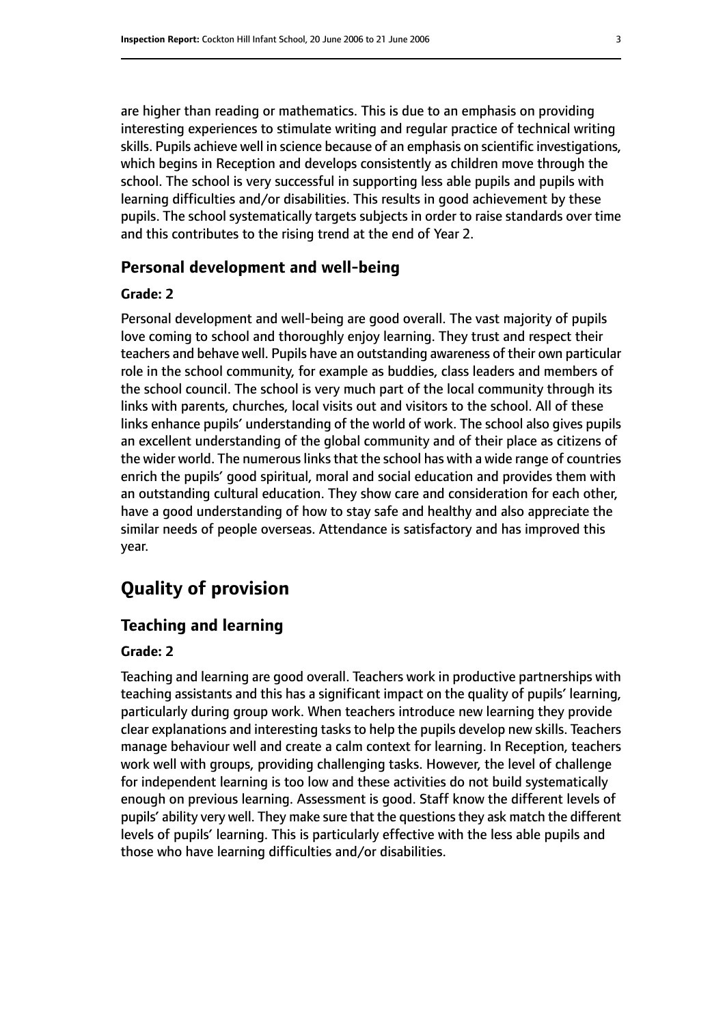are higher than reading or mathematics. This is due to an emphasis on providing interesting experiences to stimulate writing and regular practice of technical writing skills. Pupils achieve well in science because of an emphasis on scientific investigations, which begins in Reception and develops consistently as children move through the school. The school is very successful in supporting less able pupils and pupils with learning difficulties and/or disabilities. This results in good achievement by these pupils. The school systematically targets subjects in order to raise standards over time and this contributes to the rising trend at the end of Year 2.

### **Personal development and well-being**

### **Grade: 2**

Personal development and well-being are good overall. The vast majority of pupils love coming to school and thoroughly enjoy learning. They trust and respect their teachers and behave well. Pupils have an outstanding awareness of their own particular role in the school community, for example as buddies, class leaders and members of the school council. The school is very much part of the local community through its links with parents, churches, local visits out and visitors to the school. All of these links enhance pupils' understanding of the world of work. The school also gives pupils an excellent understanding of the global community and of their place as citizens of the wider world. The numerous links that the school has with a wide range of countries enrich the pupils' good spiritual, moral and social education and provides them with an outstanding cultural education. They show care and consideration for each other, have a good understanding of how to stay safe and healthy and also appreciate the similar needs of people overseas. Attendance is satisfactory and has improved this year.

# **Quality of provision**

### **Teaching and learning**

### **Grade: 2**

Teaching and learning are good overall. Teachers work in productive partnerships with teaching assistants and this has a significant impact on the quality of pupils' learning, particularly during group work. When teachers introduce new learning they provide clear explanations and interesting tasks to help the pupils develop new skills. Teachers manage behaviour well and create a calm context for learning. In Reception, teachers work well with groups, providing challenging tasks. However, the level of challenge for independent learning is too low and these activities do not build systematically enough on previous learning. Assessment is good. Staff know the different levels of pupils' ability very well. They make sure that the questions they ask match the different levels of pupils' learning. This is particularly effective with the less able pupils and those who have learning difficulties and/or disabilities.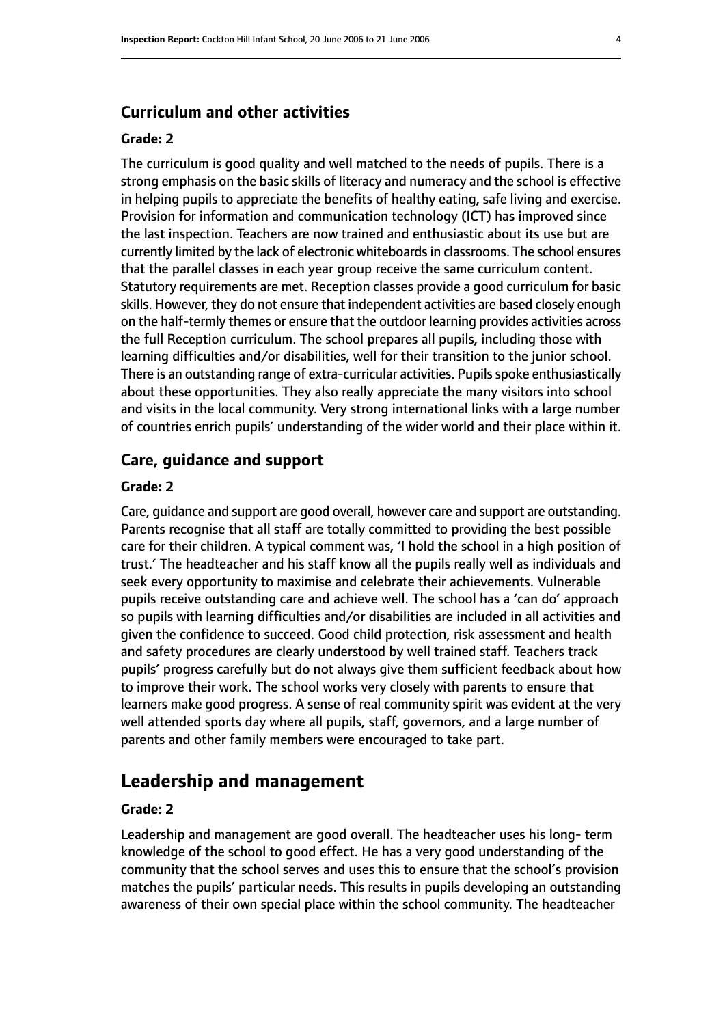### **Curriculum and other activities**

### **Grade: 2**

The curriculum is good quality and well matched to the needs of pupils. There is a strong emphasis on the basic skills of literacy and numeracy and the school is effective in helping pupils to appreciate the benefits of healthy eating, safe living and exercise. Provision for information and communication technology (ICT) has improved since the last inspection. Teachers are now trained and enthusiastic about its use but are currently limited by the lack of electronic whiteboardsin classrooms. The school ensures that the parallel classes in each year group receive the same curriculum content. Statutory requirements are met. Reception classes provide a good curriculum for basic skills. However, they do not ensure that independent activities are based closely enough on the half-termly themes or ensure that the outdoor learning provides activities across the full Reception curriculum. The school prepares all pupils, including those with learning difficulties and/or disabilities, well for their transition to the junior school. There is an outstanding range of extra-curricular activities. Pupils spoke enthusiastically about these opportunities. They also really appreciate the many visitors into school and visits in the local community. Very strong international links with a large number of countries enrich pupils' understanding of the wider world and their place within it.

### **Care, guidance and support**

### **Grade: 2**

Care, guidance and support are good overall, however care and support are outstanding. Parents recognise that all staff are totally committed to providing the best possible care for their children. A typical comment was, 'I hold the school in a high position of trust.' The headteacher and his staff know all the pupils really well as individuals and seek every opportunity to maximise and celebrate their achievements. Vulnerable pupils receive outstanding care and achieve well. The school has a 'can do' approach so pupils with learning difficulties and/or disabilities are included in all activities and given the confidence to succeed. Good child protection, risk assessment and health and safety procedures are clearly understood by well trained staff. Teachers track pupils' progress carefully but do not always give them sufficient feedback about how to improve their work. The school works very closely with parents to ensure that learners make good progress. A sense of real community spirit was evident at the very well attended sports day where all pupils, staff, governors, and a large number of parents and other family members were encouraged to take part.

### **Leadership and management**

### **Grade: 2**

Leadership and management are good overall. The headteacher uses his long- term knowledge of the school to good effect. He has a very good understanding of the community that the school serves and uses this to ensure that the school's provision matches the pupils' particular needs. This results in pupils developing an outstanding awareness of their own special place within the school community. The headteacher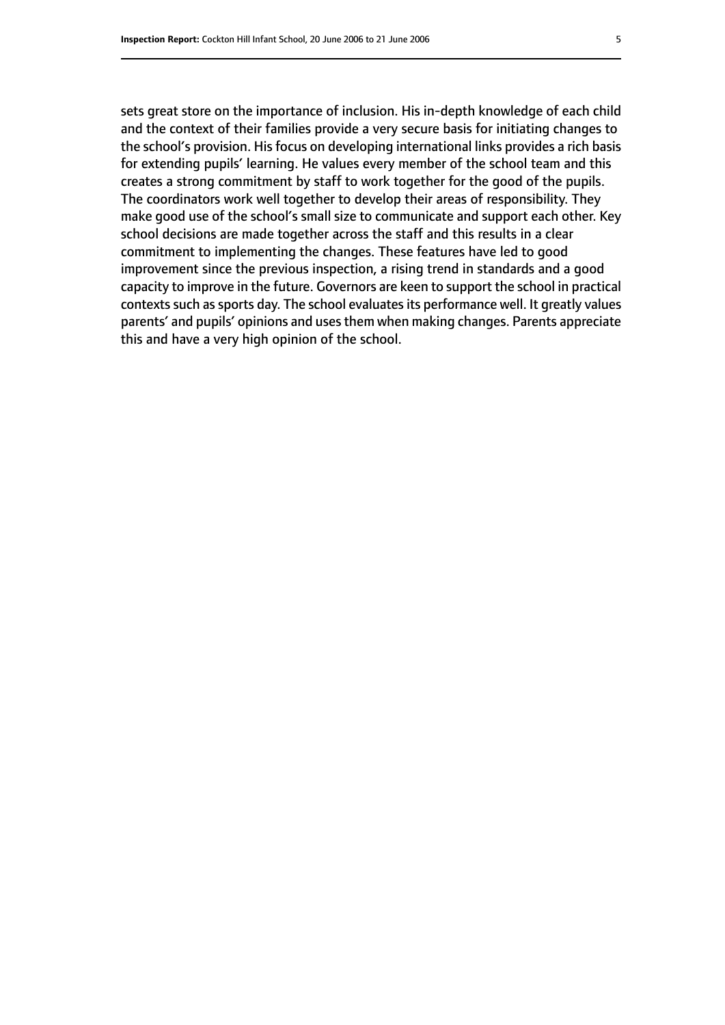sets great store on the importance of inclusion. His in-depth knowledge of each child and the context of their families provide a very secure basis for initiating changes to the school's provision. His focus on developing international links provides a rich basis for extending pupils' learning. He values every member of the school team and this creates a strong commitment by staff to work together for the good of the pupils. The coordinators work well together to develop their areas of responsibility. They make good use of the school's small size to communicate and support each other. Key school decisions are made together across the staff and this results in a clear commitment to implementing the changes. These features have led to good improvement since the previous inspection, a rising trend in standards and a good capacity to improve in the future. Governors are keen to support the school in practical contexts such as sports day. The school evaluates its performance well. It greatly values parents' and pupils' opinions and usesthem when making changes. Parents appreciate this and have a very high opinion of the school.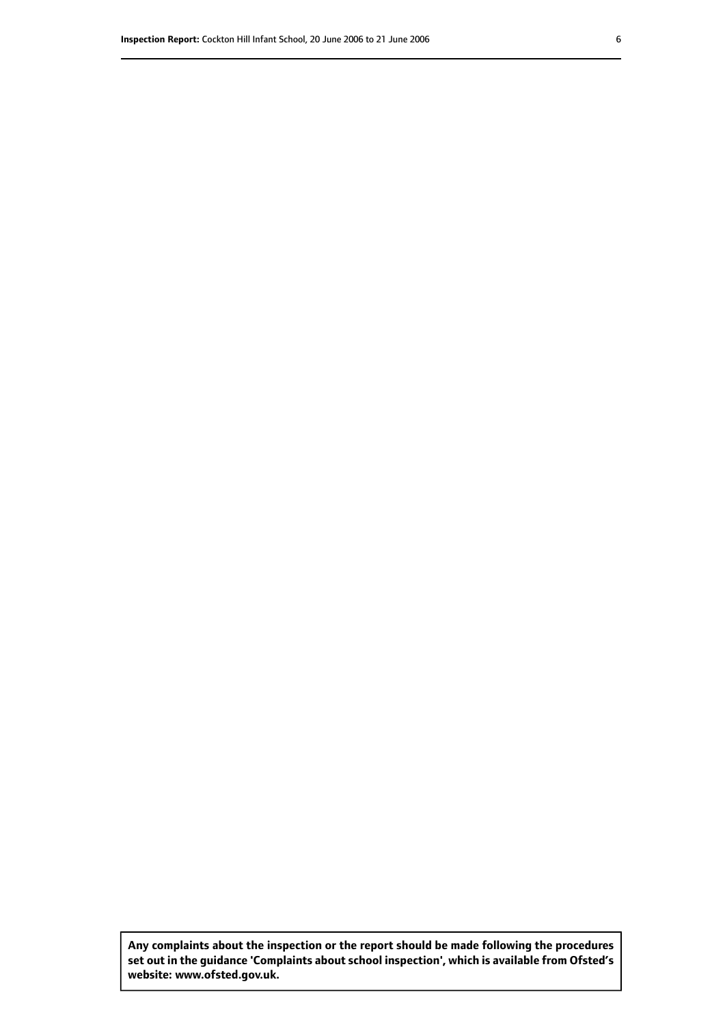**Any complaints about the inspection or the report should be made following the procedures set out inthe guidance 'Complaints about school inspection', whichis available from Ofsted's website: www.ofsted.gov.uk.**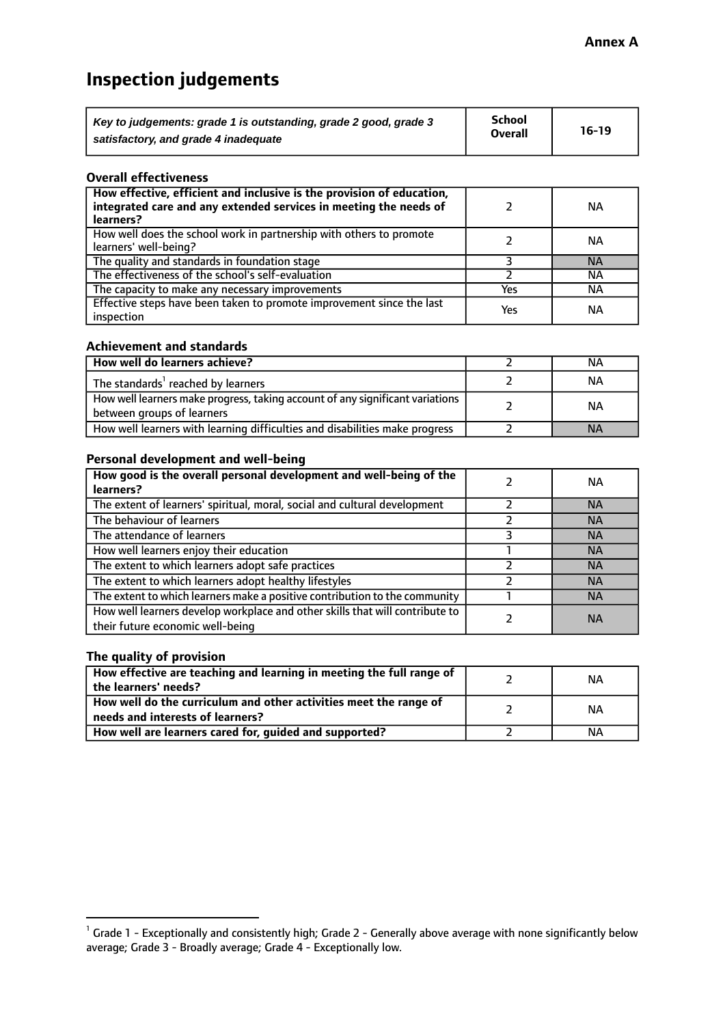# **Inspection judgements**

| Key to judgements: grade 1 is outstanding, grade 2 good, grade 3 | School         | $16-19$ |
|------------------------------------------------------------------|----------------|---------|
| satisfactory, and grade 4 inadequate                             | <b>Overall</b> |         |

### **Overall effectiveness**

| How effective, efficient and inclusive is the provision of education,<br>integrated care and any extended services in meeting the needs of<br>learners? |     | <b>NA</b> |
|---------------------------------------------------------------------------------------------------------------------------------------------------------|-----|-----------|
| How well does the school work in partnership with others to promote<br>learners' well-being?                                                            |     | ΝA        |
| The quality and standards in foundation stage                                                                                                           |     | <b>NA</b> |
| The effectiveness of the school's self-evaluation                                                                                                       |     | ΝA        |
| The capacity to make any necessary improvements                                                                                                         | Yes | NА        |
| Effective steps have been taken to promote improvement since the last<br>inspection                                                                     | Yes | <b>NA</b> |

### **Achievement and standards**

| How well do learners achieve?                                                                               | ΝA        |
|-------------------------------------------------------------------------------------------------------------|-----------|
| The standards <sup>1</sup> reached by learners                                                              | NА        |
| How well learners make progress, taking account of any significant variations<br>between groups of learners | <b>NA</b> |
| How well learners with learning difficulties and disabilities make progress                                 | <b>NA</b> |

### **Personal development and well-being**

| How good is the overall personal development and well-being of the<br>learners?                                  | ΝA        |
|------------------------------------------------------------------------------------------------------------------|-----------|
| The extent of learners' spiritual, moral, social and cultural development                                        | <b>NA</b> |
| The behaviour of learners                                                                                        | <b>NA</b> |
| The attendance of learners                                                                                       | <b>NA</b> |
| How well learners enjoy their education                                                                          | <b>NA</b> |
| The extent to which learners adopt safe practices                                                                | <b>NA</b> |
| The extent to which learners adopt healthy lifestyles                                                            | <b>NA</b> |
| The extent to which learners make a positive contribution to the community                                       | <b>NA</b> |
| How well learners develop workplace and other skills that will contribute to<br>their future economic well-being | <b>NA</b> |

### **The quality of provision**

| How effective are teaching and learning in meeting the full range of<br>the learners' needs?          | ΝA |
|-------------------------------------------------------------------------------------------------------|----|
| How well do the curriculum and other activities meet the range of<br>needs and interests of learners? | ΝA |
| How well are learners cared for, guided and supported?                                                | NА |

 $^1$  Grade 1 - Exceptionally and consistently high; Grade 2 - Generally above average with none significantly below average; Grade 3 - Broadly average; Grade 4 - Exceptionally low.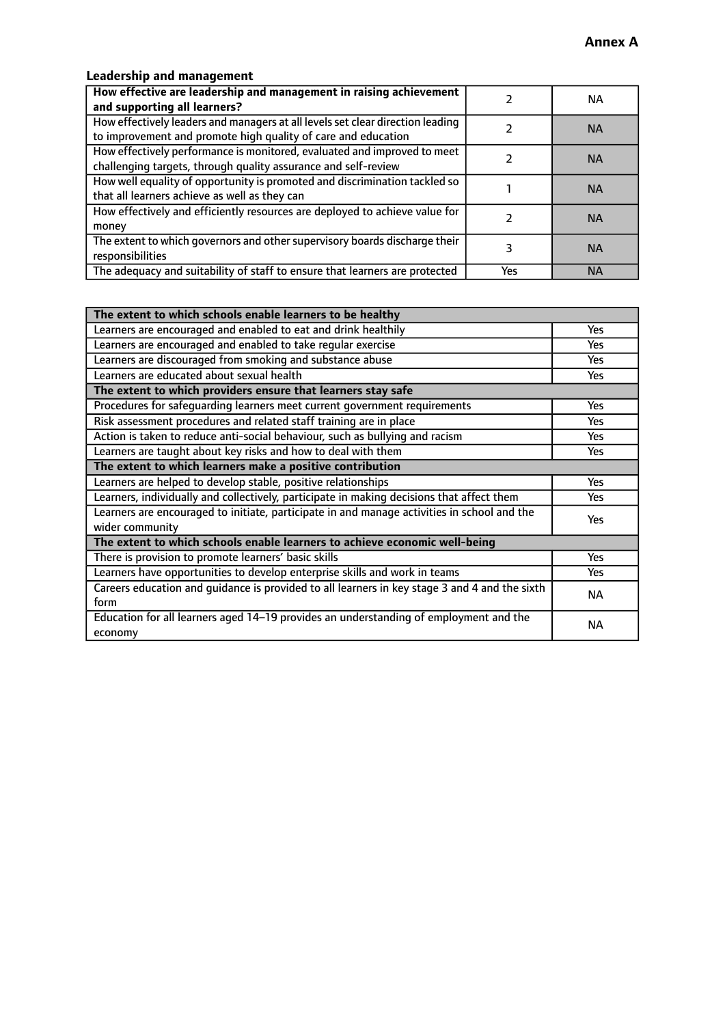### **Leadership and management**

| How effective are leadership and management in raising achievement<br>and supporting all learners?                                              |     | NA.       |
|-------------------------------------------------------------------------------------------------------------------------------------------------|-----|-----------|
| How effectively leaders and managers at all levels set clear direction leading<br>to improvement and promote high quality of care and education |     | <b>NA</b> |
| How effectively performance is monitored, evaluated and improved to meet<br>challenging targets, through quality assurance and self-review      |     | <b>NA</b> |
| How well equality of opportunity is promoted and discrimination tackled so<br>that all learners achieve as well as they can                     |     | <b>NA</b> |
| How effectively and efficiently resources are deployed to achieve value for<br>money                                                            |     | <b>NA</b> |
| The extent to which governors and other supervisory boards discharge their<br>responsibilities                                                  |     | <b>NA</b> |
| The adequacy and suitability of staff to ensure that learners are protected                                                                     | Yes | <b>NA</b> |

| The extent to which schools enable learners to be healthy                                     |            |  |
|-----------------------------------------------------------------------------------------------|------------|--|
| Learners are encouraged and enabled to eat and drink healthily                                | Yes        |  |
| Learners are encouraged and enabled to take regular exercise                                  | Yes        |  |
| Learners are discouraged from smoking and substance abuse                                     | <b>Yes</b> |  |
| Learners are educated about sexual health                                                     | <b>Yes</b> |  |
| The extent to which providers ensure that learners stay safe                                  |            |  |
| Procedures for safequarding learners meet current government requirements                     | Yes        |  |
| Risk assessment procedures and related staff training are in place                            | Yes        |  |
| Action is taken to reduce anti-social behaviour, such as bullying and racism                  | Yes        |  |
| Learners are taught about key risks and how to deal with them                                 | <b>Yes</b> |  |
| The extent to which learners make a positive contribution                                     |            |  |
| Learners are helped to develop stable, positive relationships                                 | Yes        |  |
| Learners, individually and collectively, participate in making decisions that affect them     | Yes        |  |
| Learners are encouraged to initiate, participate in and manage activities in school and the   | <b>Yes</b> |  |
| wider community                                                                               |            |  |
| The extent to which schools enable learners to achieve economic well-being                    |            |  |
| There is provision to promote learners' basic skills                                          | Yes        |  |
| Learners have opportunities to develop enterprise skills and work in teams                    | <b>Yes</b> |  |
| Careers education and guidance is provided to all learners in key stage 3 and 4 and the sixth | <b>NA</b>  |  |
| form                                                                                          |            |  |
| Education for all learners aged 14-19 provides an understanding of employment and the         | NА         |  |
| economy                                                                                       |            |  |